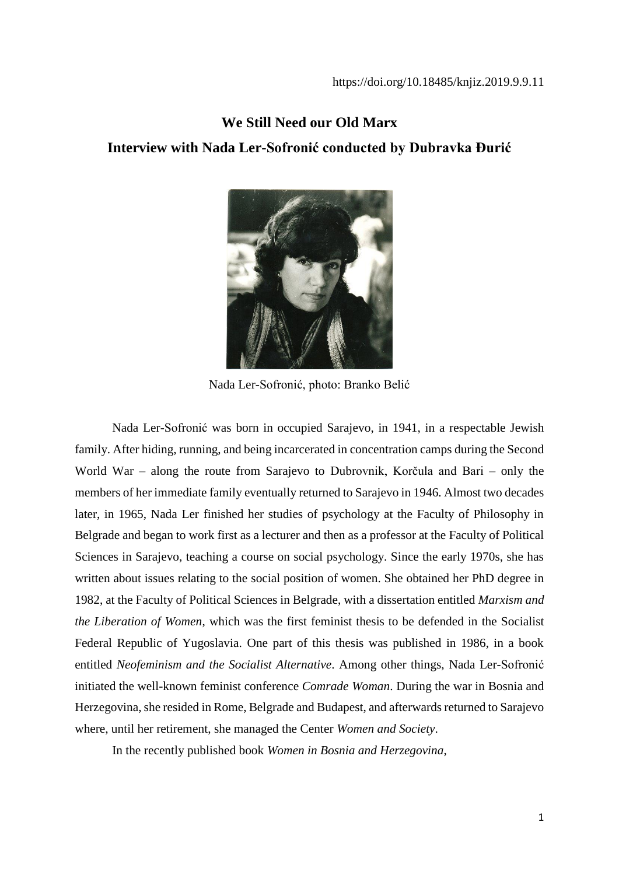# **We Still Need our Old Marx Interview with Nada Ler-Sofronić conducted by Dubravka Đurić**



Nada Ler-Sofronić, photo: Branko Belić

Nada Ler-Sofronić was born in occupied Sarajevo, in 1941, in a respectable Jewish family. After hiding, running, and being incarcerated in concentration camps during the Second World War – along the route from Sarajevo to Dubrovnik, Korčula and Bari – only the members of her immediate family eventually returned to Sarajevo in 1946. Almost two decades later, in 1965, Nada Ler finished her studies of psychology at the Faculty of Philosophy in Belgrade and began to work first as a lecturer and then as a professor at the Faculty of Political Sciences in Sarajevo, teaching a course on social psychology. Since the early 1970s, she has written about issues relating to the social position of women. She obtained her PhD degree in 1982, at the Faculty of Political Sciences in Belgrade, with a dissertation entitled *Marxism and the Liberation of Women*, which was the first feminist thesis to be defended in the Socialist Federal Republic of Yugoslavia. One part of this thesis was published in 1986, in a book entitled *Neofeminism and the Socialist Alternative*. Among other things, Nada Ler-Sofronić initiated the well-known feminist conference *Comrade Woman*. During the war in Bosnia and Herzegovina, she resided in Rome, Belgrade and Budapest, and afterwards returned to Sarajevo where, until her retirement, she managed the Center *Women and Society*.

In the recently published book *Women in Bosnia and Herzegovina*,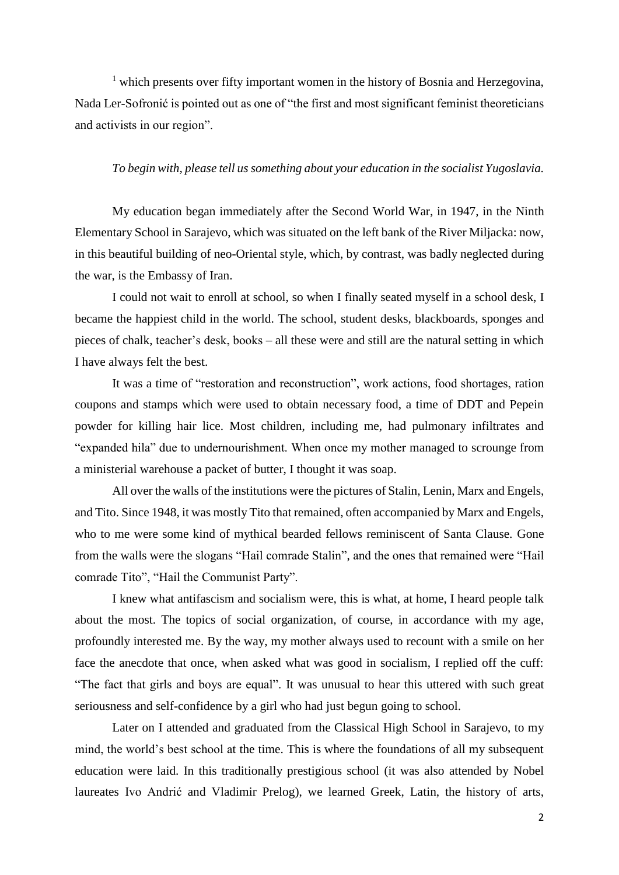<sup>1</sup> which presents over fifty important women in the history of Bosnia and Herzegovina, Nada Ler-Sofronić is pointed out as one of "the first and most significant feminist theoreticians and activists in our region".

#### *To begin with, please tell us something about your education in the socialist Yugoslavia.*

My education began immediately after the Second World War, in 1947, in the Ninth Elementary School in Sarajevo, which was situated on the left bank of the River Miljacka: now, in this beautiful building of neo-Oriental style, which, by contrast, was badly neglected during the war, is the Embassy of Iran.

I could not wait to enroll at school, so when I finally seated myself in a school desk, I became the happiest child in the world. The school, student desks, blackboards, sponges and pieces of chalk, teacher's desk, books – all these were and still are the natural setting in which I have always felt the best.

It was a time of "restoration and reconstruction", work actions, food shortages, ration coupons and stamps which were used to obtain necessary food, a time of DDT and Pepein powder for killing hair lice. Most children, including me, had pulmonary infiltrates and "expanded hila" due to undernourishment. When once my mother managed to scrounge from a ministerial warehouse a packet of butter, I thought it was soap.

All over the walls of the institutions were the pictures of Stalin, Lenin, Marx and Engels, and Tito. Since 1948, it was mostly Tito that remained, often accompanied by Marx and Engels, who to me were some kind of mythical bearded fellows reminiscent of Santa Clause. Gone from the walls were the slogans "Hail comrade Stalin", and the ones that remained were "Hail comrade Tito", "Hail the Communist Party".

I knew what antifascism and socialism were, this is what, at home, I heard people talk about the most. The topics of social organization, of course, in accordance with my age, profoundly interested me. By the way, my mother always used to recount with a smile on her face the anecdote that once, when asked what was good in socialism, I replied off the cuff: "The fact that girls and boys are equal". It was unusual to hear this uttered with such great seriousness and self-confidence by a girl who had just begun going to school.

Later on I attended and graduated from the Classical High School in Sarajevo, to my mind, the world's best school at the time. This is where the foundations of all my subsequent education were laid. In this traditionally prestigious school (it was also attended by Nobel laureates Ivo Andrić and Vladimir Prelog), we learned Greek, Latin, the history of arts,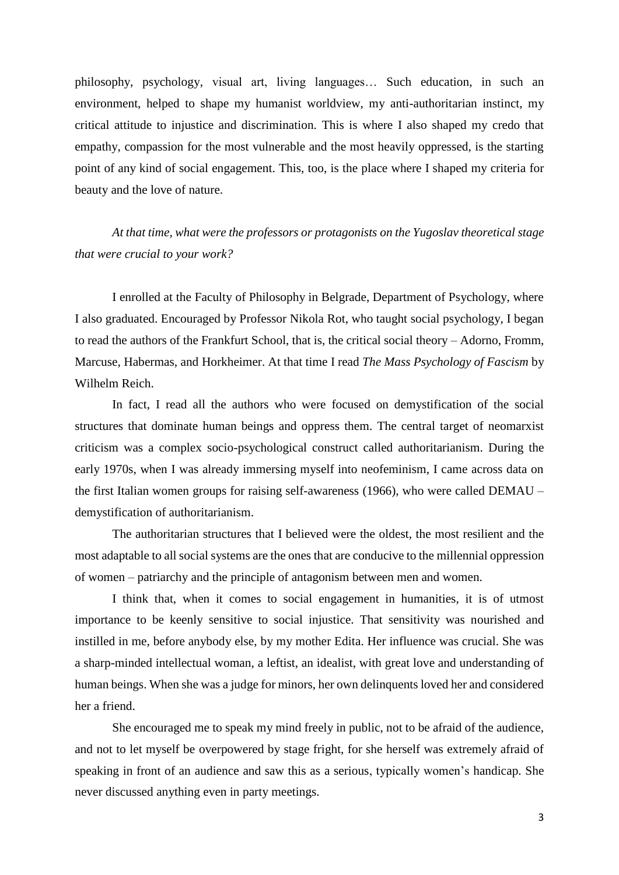philosophy, psychology, visual art, living languages… Such education, in such an environment, helped to shape my humanist worldview, my anti-authoritarian instinct, my critical attitude to injustice and discrimination. This is where I also shaped my credo that empathy, compassion for the most vulnerable and the most heavily oppressed, is the starting point of any kind of social engagement. This, too, is the place where I shaped my criteria for beauty and the love of nature.

*At that time, what were the professors or protagonists on the Yugoslav theoretical stage that were crucial to your work?*

I enrolled at the Faculty of Philosophy in Belgrade, Department of Psychology, where I also graduated. Encouraged by Professor Nikola Rot, who taught social psychology, I began to read the authors of the Frankfurt School, that is, the critical social theory – Adorno, Fromm, Marcuse, Habermas, and Horkheimer. At that time I read *The Mass Psychology of Fascism* by Wilhelm Reich.

In fact, I read all the authors who were focused on demystification of the social structures that dominate human beings and oppress them. The central target of neomarxist criticism was a complex socio-psychological construct called authoritarianism. During the early 1970s, when I was already immersing myself into neofeminism, I came across data on the first Italian women groups for raising self-awareness (1966), who were called DEMAU – demystification of authoritarianism.

The authoritarian structures that I believed were the oldest, the most resilient and the most adaptable to all social systems are the ones that are conducive to the millennial oppression of women – patriarchy and the principle of antagonism between men and women.

I think that, when it comes to social engagement in humanities, it is of utmost importance to be keenly sensitive to social injustice. That sensitivity was nourished and instilled in me, before anybody else, by my mother Edita. Her influence was crucial. She was a sharp-minded intellectual woman, a leftist, an idealist, with great love and understanding of human beings. When she was a judge for minors, her own delinquents loved her and considered her a friend.

She encouraged me to speak my mind freely in public, not to be afraid of the audience, and not to let myself be overpowered by stage fright, for she herself was extremely afraid of speaking in front of an audience and saw this as a serious, typically women's handicap. She never discussed anything even in party meetings.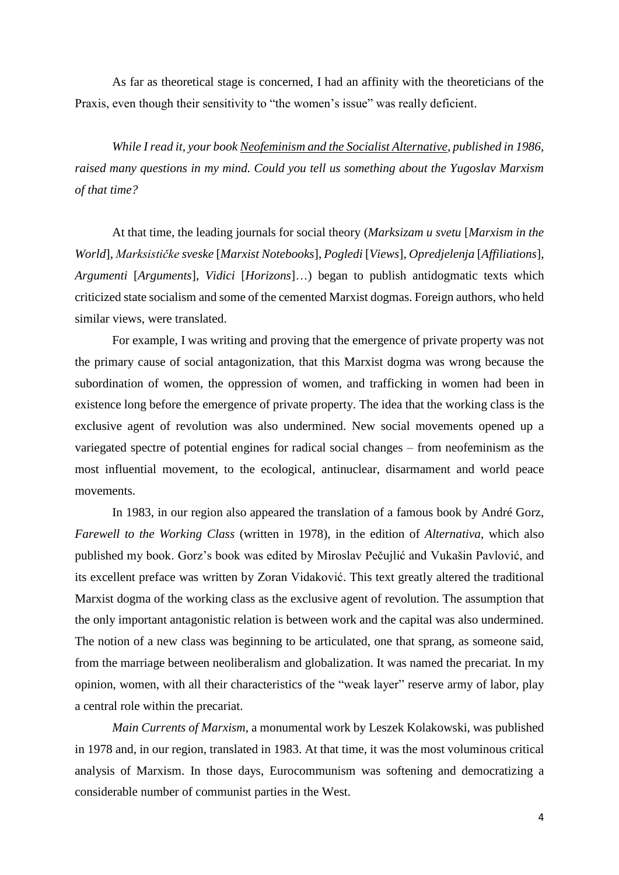As far as theoretical stage is concerned, I had an affinity with the theoreticians of the Praxis, even though their sensitivity to "the women's issue" was really deficient.

*While I read it, your book Neofeminism and the Socialist Alternative, published in 1986, raised many questions in my mind. Could you tell us something about the Yugoslav Marxism of that time?*

At that time, the leading journals for social theory (*Marksizam u svetu* [*Marxism in the World*], *Marksističke sveske* [*Marxist Notebooks*], *Pogledi* [*Views*], *Opredjelenja* [*Affiliations*], *Argumenti* [*Arguments*], *Vidici* [*Horizons*]…) began to publish antidogmatic texts which criticized state socialism and some of the cemented Marxist dogmas. Foreign authors, who held similar views, were translated.

For example, I was writing and proving that the emergence of private property was not the primary cause of social antagonization, that this Marxist dogma was wrong because the subordination of women, the oppression of women, and trafficking in women had been in existence long before the emergence of private property. The idea that the working class is the exclusive agent of revolution was also undermined. New social movements opened up a variegated spectre of potential engines for radical social changes – from neofeminism as the most influential movement, to the ecological, antinuclear, disarmament and world peace movements.

In 1983, in our region also appeared the translation of a famous book by André Gorz, *Farewell to the Working Class* (written in 1978), in the edition of *Alternativa*, which also published my book. Gorz's book was edited by Miroslav Pečujlić and Vukašin Pavlović, and its excellent preface was written by Zoran Vidaković. This text greatly altered the traditional Marxist dogma of the working class as the exclusive agent of revolution. The assumption that the only important antagonistic relation is between work and the capital was also undermined. The notion of a new class was beginning to be articulated, one that sprang, as someone said, from the marriage between neoliberalism and globalization. It was named the precariat. In my opinion, women, with all their characteristics of the "weak layer" reserve army of labor, play a central role within the precariat.

*Main Currents of Marxism*, a monumental work by Leszek Kolakowski, was published in 1978 and, in our region, translated in 1983. At that time, it was the most voluminous critical analysis of Marxism. In those days, Eurocommunism was softening and democratizing a considerable number of communist parties in the West.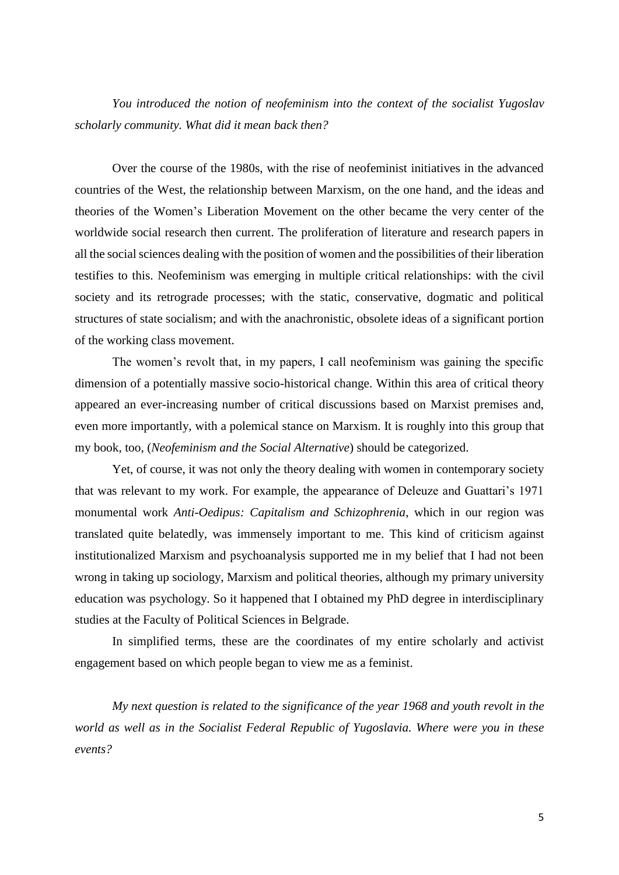*You introduced the notion of neofeminism into the context of the socialist Yugoslav scholarly community. What did it mean back then?*

Over the course of the 1980s, with the rise of neofeminist initiatives in the advanced countries of the West, the relationship between Marxism, on the one hand, and the ideas and theories of the Women's Liberation Movement on the other became the very center of the worldwide social research then current. The proliferation of literature and research papers in all the social sciences dealing with the position of women and the possibilities of their liberation testifies to this. Neofeminism was emerging in multiple critical relationships: with the civil society and its retrograde processes; with the static, conservative, dogmatic and political structures of state socialism; and with the anachronistic, obsolete ideas of a significant portion of the working class movement.

The women's revolt that, in my papers, I call neofeminism was gaining the specific dimension of a potentially massive socio-historical change. Within this area of critical theory appeared an ever-increasing number of critical discussions based on Marxist premises and, even more importantly, with a polemical stance on Marxism. It is roughly into this group that my book, too, (*Neofeminism and the Social Alternative*) should be categorized.

Yet, of course, it was not only the theory dealing with women in contemporary society that was relevant to my work. For example, the appearance of Deleuze and Guattari's 1971 monumental work *Anti-Oedipus: Capitalism and Schizophrenia*, which in our region was translated quite belatedly, was immensely important to me. This kind of criticism against institutionalized Marxism and psychoanalysis supported me in my belief that I had not been wrong in taking up sociology, Marxism and political theories, although my primary university education was psychology. So it happened that I obtained my PhD degree in interdisciplinary studies at the Faculty of Political Sciences in Belgrade.

In simplified terms, these are the coordinates of my entire scholarly and activist engagement based on which people began to view me as a feminist.

*My next question is related to the significance of the year 1968 and youth revolt in the world as well as in the Socialist Federal Republic of Yugoslavia. Where were you in these events?*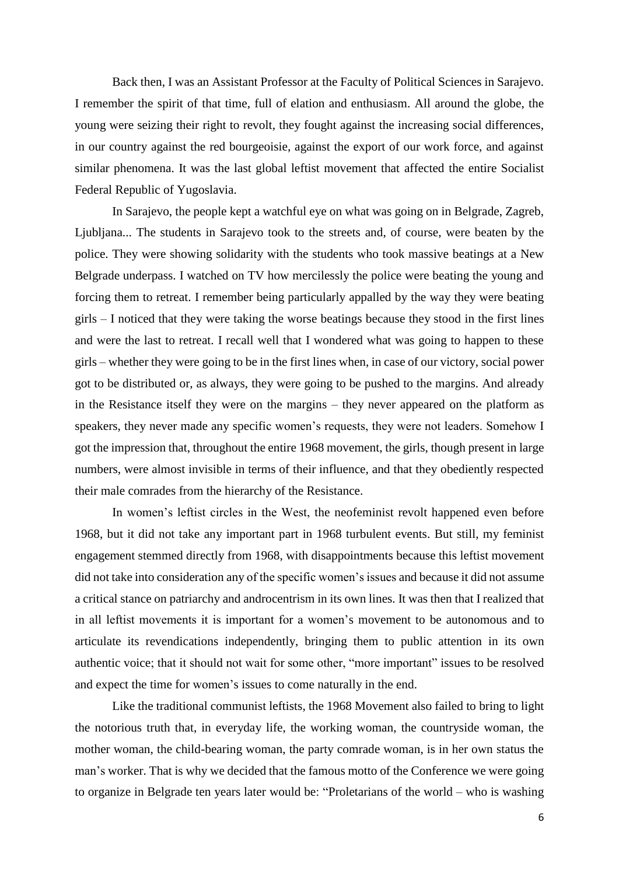Back then, I was an Assistant Professor at the Faculty of Political Sciences in Sarajevo. I remember the spirit of that time, full of elation and enthusiasm. All around the globe, the young were seizing their right to revolt, they fought against the increasing social differences, in our country against the red bourgeoisie, against the export of our work force, and against similar phenomena. It was the last global leftist movement that affected the entire Socialist Federal Republic of Yugoslavia.

In Sarajevo, the people kept a watchful eye on what was going on in Belgrade, Zagreb, Ljubljana... The students in Sarajevo took to the streets and, of course, were beaten by the police. They were showing solidarity with the students who took massive beatings at a New Belgrade underpass. I watched on TV how mercilessly the police were beating the young and forcing them to retreat. I remember being particularly appalled by the way they were beating girls – I noticed that they were taking the worse beatings because they stood in the first lines and were the last to retreat. I recall well that I wondered what was going to happen to these girls – whether they were going to be in the first lines when, in case of our victory, social power got to be distributed or, as always, they were going to be pushed to the margins. And already in the Resistance itself they were on the margins – they never appeared on the platform as speakers, they never made any specific women's requests, they were not leaders. Somehow I got the impression that, throughout the entire 1968 movement, the girls, though present in large numbers, were almost invisible in terms of their influence, and that they obediently respected their male comrades from the hierarchy of the Resistance.

In women's leftist circles in the West, the neofeminist revolt happened even before 1968, but it did not take any important part in 1968 turbulent events. But still, my feminist engagement stemmed directly from 1968, with disappointments because this leftist movement did not take into consideration any of the specific women's issues and because it did not assume a critical stance on patriarchy and androcentrism in its own lines. It was then that I realized that in all leftist movements it is important for a women's movement to be autonomous and to articulate its revendications independently, bringing them to public attention in its own authentic voice; that it should not wait for some other, "more important" issues to be resolved and expect the time for women's issues to come naturally in the end.

Like the traditional communist leftists, the 1968 Movement also failed to bring to light the notorious truth that, in everyday life, the working woman, the countryside woman, the mother woman, the child-bearing woman, the party comrade woman, is in her own status the man's worker. That is why we decided that the famous motto of the Conference we were going to organize in Belgrade ten years later would be: "Proletarians of the world – who is washing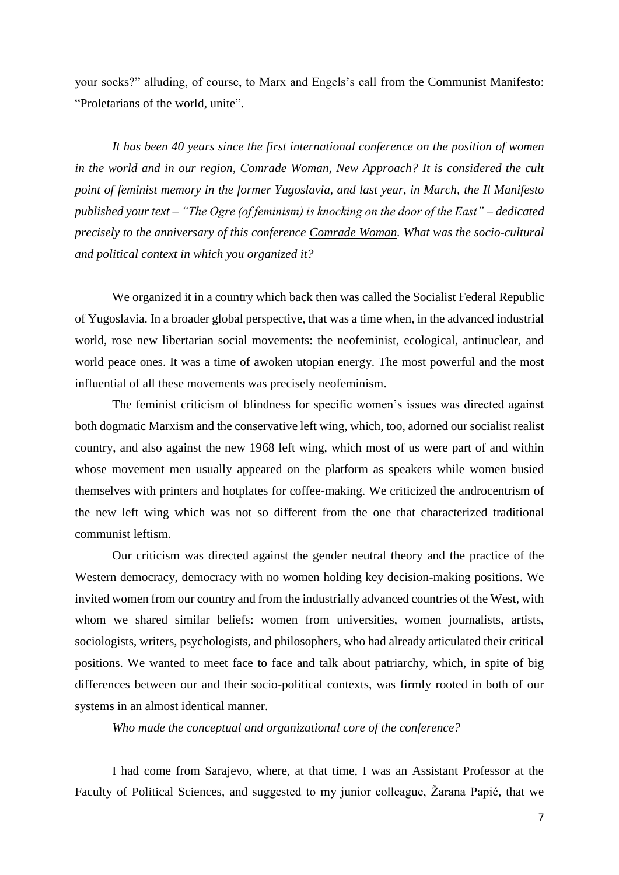your socks?" alluding, of course, to Marx and Engels's call from the Communist Manifesto: "Proletarians of the world, unite".

*It has been 40 years since the first international conference on the position of women in the world and in our region, Comrade Woman, New Approach? It is considered the cult point of feminist memory in the former Yugoslavia, and last year, in March, the Il Manifesto published your text – "The Ogre (of feminism) is knocking on the door of the East" – dedicated precisely to the anniversary of this conference Comrade Woman. What was the socio-cultural and political context in which you organized it?*

We organized it in a country which back then was called the Socialist Federal Republic of Yugoslavia. In a broader global perspective, that was a time when, in the advanced industrial world, rose new libertarian social movements: the neofeminist, ecological, antinuclear, and world peace ones. It was a time of awoken utopian energy. The most powerful and the most influential of all these movements was precisely neofeminism.

The feminist criticism of blindness for specific women's issues was directed against both dogmatic Marxism and the conservative left wing, which, too, adorned our socialist realist country, and also against the new 1968 left wing, which most of us were part of and within whose movement men usually appeared on the platform as speakers while women busied themselves with printers and hotplates for coffee-making. We criticized the androcentrism of the new left wing which was not so different from the one that characterized traditional communist leftism.

Our criticism was directed against the gender neutral theory and the practice of the Western democracy, democracy with no women holding key decision-making positions. We invited women from our country and from the industrially advanced countries of the West, with whom we shared similar beliefs: women from universities, women journalists, artists, sociologists, writers, psychologists, and philosophers, who had already articulated their critical positions. We wanted to meet face to face and talk about patriarchy, which, in spite of big differences between our and their socio-political contexts, was firmly rooted in both of our systems in an almost identical manner.

*Who made the conceptual and organizational core of the conference?*

I had come from Sarajevo, where, at that time, I was an Assistant Professor at the Faculty of Political Sciences, and suggested to my junior colleague, Žarana Papić, that we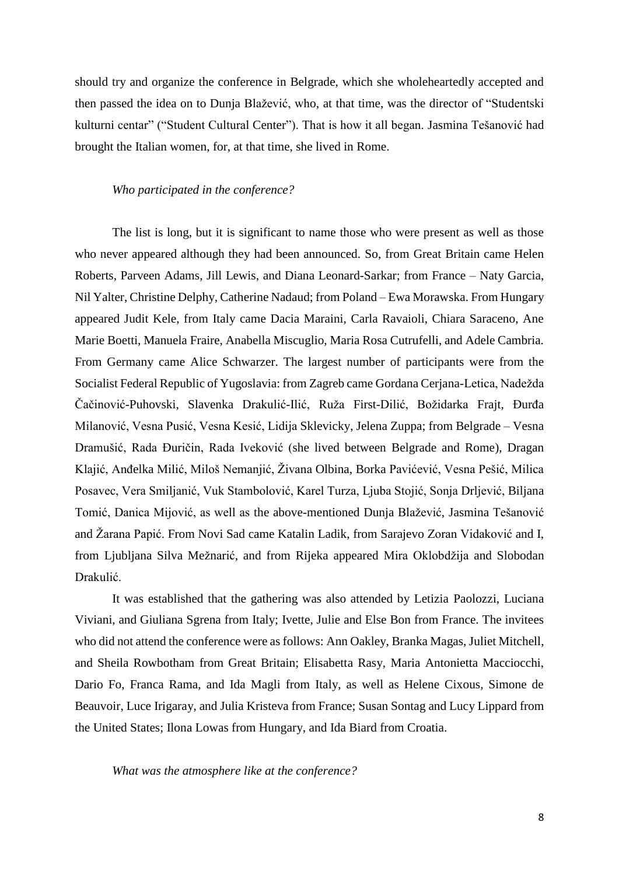should try and organize the conference in Belgrade, which she wholeheartedly accepted and then passed the idea on to Dunja Blažević, who, at that time, was the director of "Studentski kulturni centar" ("Student Cultural Center"). That is how it all began. Jasmina Tešanović had brought the Italian women, for, at that time, she lived in Rome.

#### *Who participated in the conference?*

The list is long, but it is significant to name those who were present as well as those who never appeared although they had been announced. So, from Great Britain came Helen Roberts, Parveen Adams, Jill Lewis, and Diana Leonard-Sarkar; from France – Naty Garcia, Nil Yalter, Christine Delphy, Catherine Nadaud; from Poland – Ewa Morawska. From Hungary appeared Judit Kele, from Italy came Dacia Maraini, Carla Ravaioli, Chiara Saraceno, Ane Marie Boetti, Manuela Fraire, Anabella Miscuglio, Maria Rosa Cutrufelli, and Adele Cambria. From Germany came Alice Schwarzer. The largest number of participants were from the Socialist Federal Republic of Yugoslavia: from Zagreb came Gordana Cerjana-Letica, Nadežda Čačinović-Puhovski, Slavenka Drakulić-Ilić, Ruža First-Dilić, Božidarka Frajt, Đurđa Milanović, Vesna Pusić, Vesna Kesić, Lidija Sklevicky, Jelena Zuppa; from Belgrade – Vesna Dramušić, Rada Đuričin, Rada Iveković (she lived between Belgrade and Rome), Dragan Klajić, Anđelka Milić, Miloš Nemanjić, Živana Olbina, Borka Pavićević, Vesna Pešić, Milica Posavec, Vera Smiljanić, Vuk Stambolović, Karel Turza, Ljuba Stojić, Sonja Drljević, Biljana Tomić, Danica Mijović, as well as the above-mentioned Dunja Blažević, Jasmina Tešanović and Žarana Papić. From Novi Sad came Katalin Ladik, from Sarajevo Zoran Vidaković and I, from Ljubljana Silva Mežnarić, and from Rijeka appeared Mira Oklobdžija and Slobodan Drakulić.

It was established that the gathering was also attended by Letizia Paolozzi, Luciana Viviani, and Giuliana Sgrena from Italy; Ivette, Julie and Else Bon from France. The invitees who did not attend the conference were as follows: Ann Oakley, Branka Magas, Juliet Mitchell, and Sheila Rowbotham from Great Britain; Elisabetta Rasy, Maria Antonietta Macciocchi, Dario Fo, Franca Rama, and Ida Magli from Italy, as well as Helene Cixous, Simone de Beauvoir, Luce Irigaray, and Julia Kristeva from France; Susan Sontag and Lucy Lippard from the United States; Ilona Lowas from Hungary, and Ida Biard from Croatia.

*What was the atmosphere like at the conference?*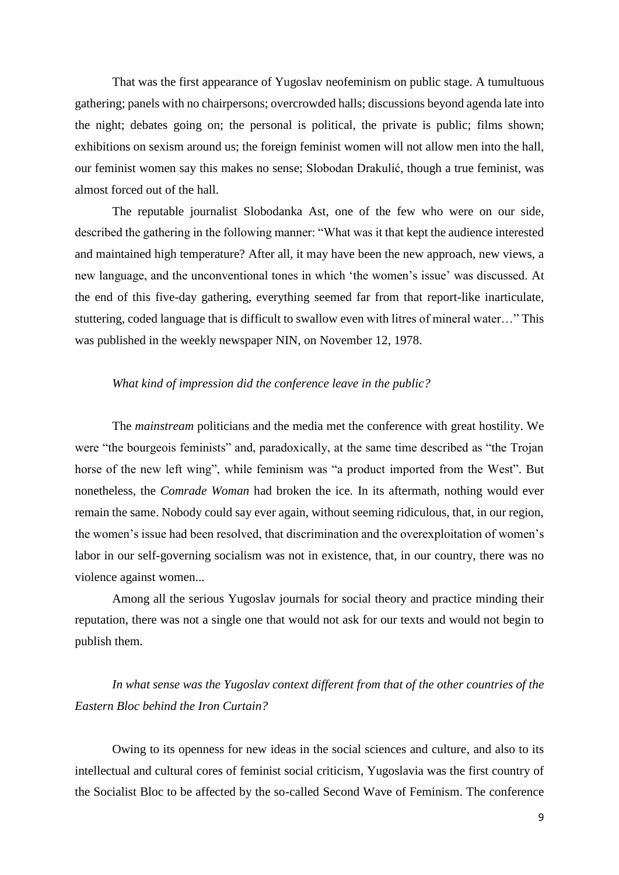That was the first appearance of Yugoslav neofeminism on public stage. A tumultuous gathering; panels with no chairpersons; overcrowded halls; discussions beyond agenda late into the night; debates going on; the personal is political, the private is public; films shown; exhibitions on sexism around us; the foreign feminist women will not allow men into the hall, our feminist women say this makes no sense; Slobodan Drakulić, though a true feminist, was almost forced out of the hall.

The reputable journalist Slobodanka Ast, one of the few who were on our side, described the gathering in the following manner: "What was it that kept the audience interested and maintained high temperature? After all, it may have been the new approach, new views, a new language, and the unconventional tones in which 'the women's issue' was discussed. At the end of this five-day gathering, everything seemed far from that report-like inarticulate, stuttering, coded language that is difficult to swallow even with litres of mineral water…" This was published in the weekly newspaper NIN, on November 12, 1978.

### *What kind of impression did the conference leave in the public?*

The *mainstream* politicians and the media met the conference with great hostility. We were "the bourgeois feminists" and, paradoxically, at the same time described as "the Trojan horse of the new left wing", while feminism was "a product imported from the West". But nonetheless, the *Comrade Woman* had broken the ice. In its aftermath, nothing would ever remain the same. Nobody could say ever again, without seeming ridiculous, that, in our region, the women's issue had been resolved, that discrimination and the overexploitation of women's labor in our self-governing socialism was not in existence, that, in our country, there was no violence against women...

Among all the serious Yugoslav journals for social theory and practice minding their reputation, there was not a single one that would not ask for our texts and would not begin to publish them.

## *In what sense was the Yugoslav context different from that of the other countries of the Eastern Bloc behind the Iron Curtain?*

Owing to its openness for new ideas in the social sciences and culture, and also to its intellectual and cultural cores of feminist social criticism, Yugoslavia was the first country of the Socialist Bloc to be affected by the so-called Second Wave of Feminism. The conference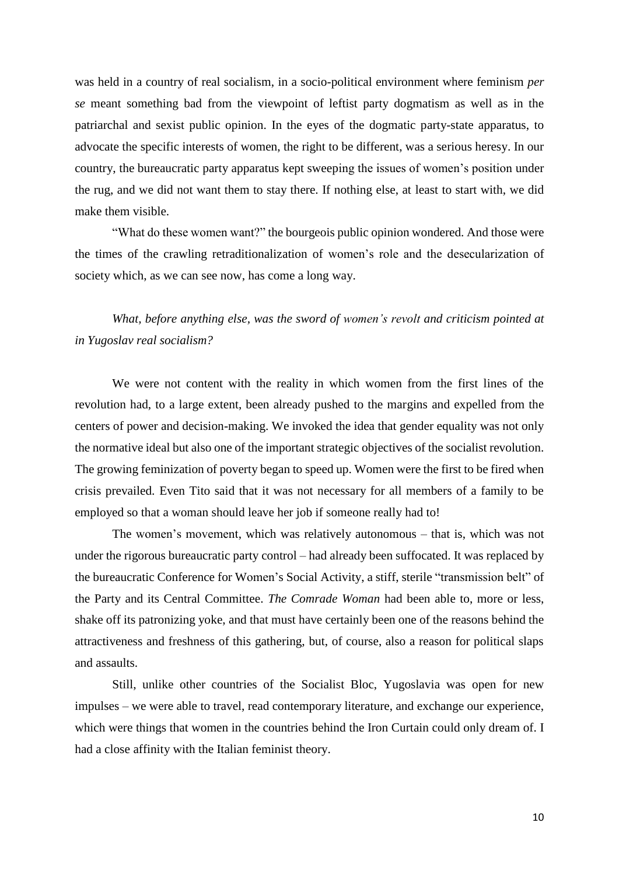was held in a country of real socialism, in a socio-political environment where feminism *per se* meant something bad from the viewpoint of leftist party dogmatism as well as in the patriarchal and sexist public opinion. In the eyes of the dogmatic party-state apparatus, to advocate the specific interests of women, the right to be different, was a serious heresy. In our country, the bureaucratic party apparatus kept sweeping the issues of women's position under the rug, and we did not want them to stay there. If nothing else, at least to start with, we did make them visible.

"What do these women want?" the bourgeois public opinion wondered. And those were the times of the crawling retraditionalization of women's role and the desecularization of society which, as we can see now, has come a long way.

*What, before anything else, was the sword of women's revolt and criticism pointed at in Yugoslav real socialism?*

We were not content with the reality in which women from the first lines of the revolution had, to a large extent, been already pushed to the margins and expelled from the centers of power and decision-making. We invoked the idea that gender equality was not only the normative ideal but also one of the important strategic objectives of the socialist revolution. The growing feminization of poverty began to speed up. Women were the first to be fired when crisis prevailed. Even Tito said that it was not necessary for all members of a family to be employed so that a woman should leave her job if someone really had to!

The women's movement, which was relatively autonomous – that is, which was not under the rigorous bureaucratic party control – had already been suffocated. It was replaced by the bureaucratic Conference for Women's Social Activity, a stiff, sterile "transmission belt" of the Party and its Central Committee. *The Comrade Woman* had been able to, more or less, shake off its patronizing yoke, and that must have certainly been one of the reasons behind the attractiveness and freshness of this gathering, but, of course, also a reason for political slaps and assaults.

Still, unlike other countries of the Socialist Bloc, Yugoslavia was open for new impulses – we were able to travel, read contemporary literature, and exchange our experience, which were things that women in the countries behind the Iron Curtain could only dream of. I had a close affinity with the Italian feminist theory.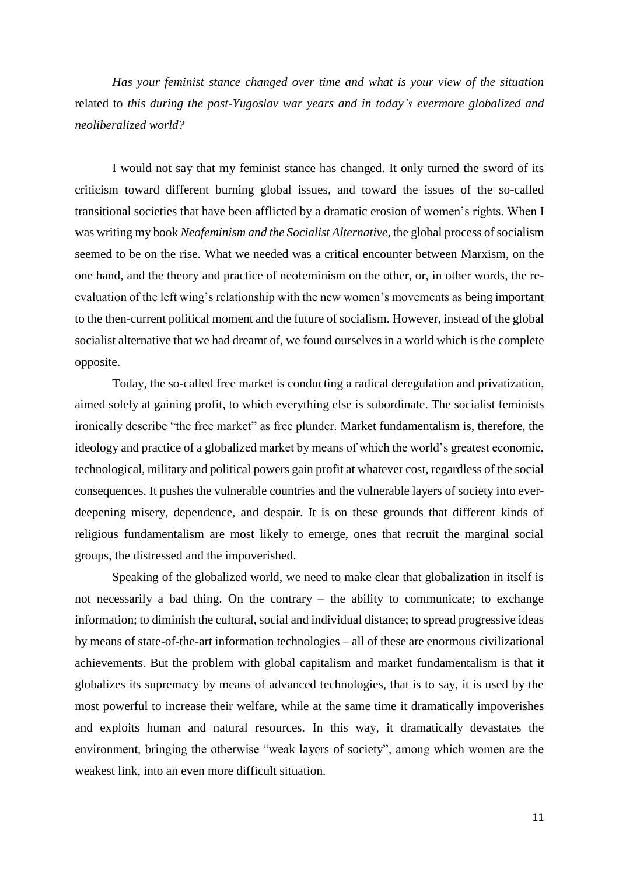*Has your feminist stance changed over time and what is your view of the situation* related to *this during the post-Yugoslav war years and in today's evermore globalized and neoliberalized world?*

I would not say that my feminist stance has changed. It only turned the sword of its criticism toward different burning global issues, and toward the issues of the so-called transitional societies that have been afflicted by a dramatic erosion of women's rights. When I was writing my book *Neofeminism and the Socialist Alternative*, the global process of socialism seemed to be on the rise. What we needed was a critical encounter between Marxism, on the one hand, and the theory and practice of neofeminism on the other, or, in other words, the reevaluation of the left wing's relationship with the new women's movements as being important to the then-current political moment and the future of socialism. However, instead of the global socialist alternative that we had dreamt of, we found ourselves in a world which is the complete opposite.

Today, the so-called free market is conducting a radical deregulation and privatization, aimed solely at gaining profit, to which everything else is subordinate. The socialist feminists ironically describe "the free market" as free plunder. Market fundamentalism is, therefore, the ideology and practice of a globalized market by means of which the world's greatest economic, technological, military and political powers gain profit at whatever cost, regardless of the social consequences. It pushes the vulnerable countries and the vulnerable layers of society into everdeepening misery, dependence, and despair. It is on these grounds that different kinds of religious fundamentalism are most likely to emerge, ones that recruit the marginal social groups, the distressed and the impoverished.

Speaking of the globalized world, we need to make clear that globalization in itself is not necessarily a bad thing. On the contrary – the ability to communicate; to exchange information; to diminish the cultural, social and individual distance; to spread progressive ideas by means of state-of-the-art information technologies – all of these are enormous civilizational achievements. But the problem with global capitalism and market fundamentalism is that it globalizes its supremacy by means of advanced technologies, that is to say, it is used by the most powerful to increase their welfare, while at the same time it dramatically impoverishes and exploits human and natural resources. In this way, it dramatically devastates the environment, bringing the otherwise "weak layers of society", among which women are the weakest link, into an even more difficult situation.